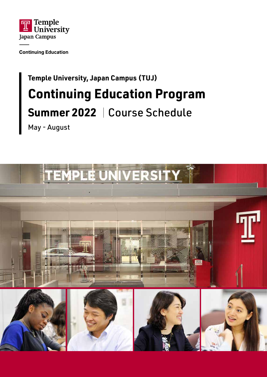

**Continuing Education** 

# **Temple University, Japan Campus (TUJ) Continuing Education Program Summer 2022** | Course Schedule

May - August

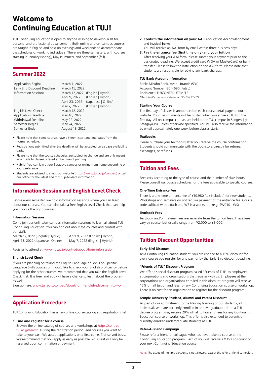## **Welcome to Continuing Education at TUJ!**

TUJ Continuing Education is open to anyone wishing to develop skills for personal and professional advancement. Both online and on-campus courses are taught in English and held on evenings and weekends to accommodate the schedules of working individuals. There are three semesters, with courses starting in January (spring), May (summer), and September (fall).

#### **Summer 2022**

| <b>Application Begins</b><br>Early Bird Discount Deadline<br><b>Information Sessions</b>                      | March 1, 2022<br>March 15, 2022<br>April 9, 2022<br>April 23, 2022<br>May 7, 2022 | March 12,2022 (English   Hybrid)<br>(English   Hybrid)<br>(Japanese   Online)<br>(English   Hybrid) |
|---------------------------------------------------------------------------------------------------------------|-----------------------------------------------------------------------------------|-----------------------------------------------------------------------------------------------------|
| English Level Check<br><b>Application Deadline</b><br>Withdrawal Deadline<br>Semester Begins<br>Semester Ends | March 12, 2022<br>May 10, 2022<br>May 22, 2022<br>May 24, 2022<br>August 13, 2022 |                                                                                                     |

- Please note that some courses have different start and end dates from the normal schedule.
- Registrations submitted after the deadline will be accepted on a space availability basis.
- Please note that the course schedules are subject to change and are only meant as a guide to classes offered at the time of printing.
- Hybrid: You can join at our Setagaya campus or online from home depending on your preference.
- Students are advised to check our website (https://www.tuj.ac.jp/cont-ed) or call our office for the latest and most up-to-date information.

### **Information Session and English Level Check**

Before every semester, we hold information sessions where you can learn about our courses. You can also take a free English Level Check that can help you choose the right courses.

#### **Information Session**

Come join our online/on-campus information sessions to learn all about TUJ Continuing Education. You can find out about the courses and consult with our staff.

March 12,2022 (English | Hybrid) April 9, 2022 (English | Hybrid) April 23, 2022 (Japanese | Online) May 7, 2022 (English | Hybrid)

Register to attend at: www.tuj.ac.jp/cont-ed/about/form-info-session

#### **English Level Check**

If you are planning on taking the English Language or Focus on Specific Language Skills courses or if you'd like to check your English proficiency before applying for the other courses, we recommend that you take the English Level Check first. It is free, and you will have a chance to learn about the program as well.

Sign up here: www.tuj.ac.jp/cont-ed/about/form-english-placement-tokyo

### **Application Procedure**

TUJ Continuing Education has a new online course catalog and registration site!

#### **1. Find and register for a course**

Browse the online catalog of courses and workshops at https://cont-ed. tuj.ac.jp/search. During the registration period, add courses you want to take to your cart. We accept applications on a first-come, first-served basis. We recommend that you apply as early as possible. Your seat will only be reserved upon confirmation of payment.

**2. Confirm the information on your AAI** (Application Acknowledgment and Invoice) **form** 

You will receive an AAI form by email within three business days. **3. Pay the entrance fee (first time only) and your tuition**

After receiving your AAI form, please submit your payment prior to the designated deadline. We accept credit card (VISA or MasterCard) or bank transfer. Please follow the instruction on the AAI form. Please note that students are responsible for paying any bank charges.

#### **TUJ Bank Account Information**

Bank: Mizuho Bank, Azabu Branch (531) Account Number: 8014690 (Futsu) Recipient\*: TUJCONTEDUTEMPLE \*Recipient's name in Katakana: コンテイテンプル

#### **Starting Your Course**

The first day of classes is announced on each course detail page on our website. Room assignments will be posted when you arrive at TUJ on the first day. All on-campus courses are held at the TUJ campus in Sangen-jaya, Setagaya-ku, unless otherwise specified. You will also receive the information by email approximately one week before classes start.

#### **Textbooks**

Please purchase your textbooks after you receive the course confirmation. Students should communicate with the bookstore directly for returns, exchanges, or refunds.

### **Tuition and Fees**

Fees vary according to the type of course and the number of class hours. Please consult our course schedules for the fees applicable to specific courses.

#### **One-Time Entrance Fee**

There is a one-time entrance fee of ¥10,980 (tax included) for new students. Workshops and seminars do not require payment of the entrance fee. Course code suffixed with a dash and WS is a workshop. (e.g. SWC101-WS)

#### **Textbook Fees**

Textbook and/or material fees are separate from the tuition fees. These fees vary by course, but usually range from ¥2,000 to ¥8,000.

### **Tuition Discount Opportunities**

#### **Early-Bird Discount**

As a Continuing Education student, you are entitled to a 15% discount for every course you register for and pay for by the Early-Bird discount deadline.

#### **"Friends of TUJ" Discount Program**

We offer a special discount program called "Friends of TUJ" to employees at corporations and organizations that register with us. Employees at the corporations and organizations enrolled in this discount program will receive 15% off all tuition and fees for any Continuing Education course or workshop. There is no cost for an organization to register for the discount program.

#### **Temple University Student, Alumni and Parent Discount**

As part of our commitment to the lifelong learning of our students, all individuals who are currently enrolled in or have graduated from a TUJ degree program may receive 20% off all tuition and fees for any Continuing Education course or workshop. This offer is also extended to parents of currently enrolled undergraduate students at TUJ.

#### **Refer-A-Friend Campaign**

Please refer a friend or colleague who has never taken a course at the Continuing Education program. Each of you will receive a ¥3500 discount on your next Continuing Education course.

Note: The usage of multiple discounts is not allowed, except the refer-a-friend campaign.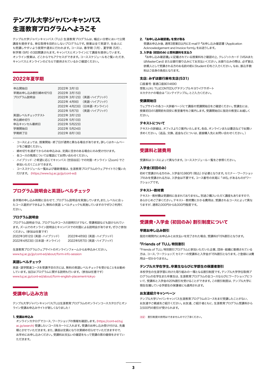## テンプル大学ジャパンキャンパス 生涯教育プログラムへようこそ

テンプル大学ジャパンキャンパス(TUJ)生涯教育プログラムは、幅広い分野において公開 講座を提供する、単位取得を目的としないプログラムです。授業は全て英語で、社会人に も受講しやすいよう夜間や週末に行われます。コースは、春学期(1月)、夏学期(5月)、 秋学期(9月)の3回開講されます。キャンパスとオンラインにて講座を提供しています。 オンライン授業は、どこからでもアクセスができます。コーススケジュールをご覧いただき、 キャンパスとオンラインのどちらで提供されているかご確認ください。

#### 2022年夏学期

| 申込開始日<br>早期お申し込み割引締め切り日<br>プログラム説明会  | 2022年 3月1日<br>2022年 3月15日<br>2022年 4月9日   | 2022年 3月12日 (英語・ハイブリッド)<br>(英語・ハイブリッド)<br>2022年 4月23日 (日本語・オンライン)<br>2022年 5月7日 (英語・ハイブリッド) |
|--------------------------------------|-------------------------------------------|---------------------------------------------------------------------------------------------|
| 英語レベルチェックテスト<br>申込締め切り<br>申込キャンセル最終日 | 2022年 3月12日<br>2022年 5月10日<br>2022年 5月22日 |                                                                                             |
| 学期開始日<br>学期終了日                       | 2022年 5月24日<br>2022年8月13日                 |                                                                                             |

- コースによっては、授業開始・終了日が通常と異なる場合があります。詳しくはホームペー ジをご確認ください.
- 締め切りを過ぎてからのお申込みは、定員に空きのある場合にのみ受け付けます。
- 各コースの残席については電話にてお問い合わせください。
- ハイブリッド:ご希望に応じてキャンパス(世田谷区)での対面・オンライン(Zoom)でご 参加いただくことができます。
- コーススケジュール一覧および最新情報は、生涯教育プログラムのウェブサイトでご覧いた だけます。 (https://www.tuj.ac.jp/jp/cont-ed)

### プログラム説明会と英語レベルチェック

各学期の申し込み時期に合わせて、プログラム説明会を実施しています。また、レベルに合っ たコース選択ができるよう、無料の英語 レベルチェックも実施していますのでぜひご利用く ださい。

#### プログラム説明会

プログラム説明会では、プログラムやコースの説明だけでなく、受講相談なども設けられてい ます。ズームでのオンライン説明会とキャンパスでの対面による説明会があります。ぜひご参加 ください。(参加は任意です) 2022年3月12日(英語・ハイブリッド) 2022年4月9日(英語・ハイブリッド) 2022年4月23日(日本語・オンライン) 2022年5月7日(英語・ハイブリッド)

生涯教育プログラムウェブサイトのオンラインフォームからお申込みください。 www.tuj.ac.jp/jp/cont-ed/about/form-info-session

#### 英語レベルチェック

英語・語学関連コースを受講予定の方には、無料の英語レベルチェックを受けることをお勧め しています。当日はプログラムに関する説明も行います。(参加は任意です) www.tuj.ac.jp/cont-ed/about/form-english-placement-tokyo

#### 受講申し込み方法

テンプル大学ジャパンキャンパス(TUJ)生涯教育プログラムのオンラインコースカタログとオン ライン受講お申込みサイトが新しくなりました!

#### 1. 受講お申込み

オンラインカタログでコース、ワークショップの情報を確認します。(https://cont-ed.tuj. ac.jp/search) 受講したいコースをカートに入れます。受講のお申し込み受け付けは、先着 順とさせていただきます。また、講座は定員になり次第締め切らせていただきますので、 お早めにお申し込みください。受講料お支払いの確認をもって受講の席の確保をさせてい ただきます。

#### 2. 『お申し込み確認書』を受け取る

受講お申込み後、通常3営業日以内にE-mailで『お申し込み確認書(Application Acknowledgement and Invoice form)』をお送りします。

#### 3. 入学金(初回のみ)と受料講料を支払う

『お申し込み確認書』に記載されている授業料をご確認の上、クレジットカード(VISAまた はMasterCard)または銀行振り込みにてお支払いください。お振り込みの際は、必ず振込 依頼人として受講される方のお名前の前にStudent IDをご入力ください。なお、振込手数 料はご自身の負担となります。

#### 支店: みずほ銀行麻布支店(531)

口座番号: 普通口座8014690

受取人(※): TUJCONTEDUグチテンプルキヨウイクサポート ※カタカナの場合は「コンテイテンプル」とご入力ください。

#### 受講開始日

ウェブサイトの各コース詳細ページにて講座の受講開始日をご確認ください。受講生には、 授業初日の1週間前を目安に教室番号をご案内します。受講開始日に指定の教室にお越しく ださい。

#### テキストについて

テキストの詳細は、オフィスよりご案内いたします。各自、オンラインまたは書店などでお買い 求めください。(返品、交換、返金などについは、直接購入先にお問い合わせください。)

#### 受講料と諸費用

受講料はコースによって異なります。コーススケジュール一覧をご参照ください。

#### 入学金(初回のみ)

初めて受講される方のみ、入学金10,980円(税込)が必要となります。セミナー・ワークショッ プのみを受講される方は、入学金は不要です。コース番号の末尾に「-WS」があるものがワー クショップです。

#### テキスト・教材費

テキスト・教材費は受講料に含まれておりません。別途ご購入いただく講座もありますので、 あらかじめご了承ください。テキスト・教材費にかかる費用は、受講されるコースによって異な りますが、通常2,000円から8,000円程度です。

#### 受講費・入学金(初回のみ)割引制度について

#### 早期お申し込み割引

指定の期間内にお申込みとお支払いを完了された場合、受講料が15%割引となります。

#### 「Friends of TUJ」特別割引

 「Friends of TUJ」特別割引プログラムに参加いただいた企業、団体・組織に勤務されている 方は、コース、ワークショップ、セミナーの受講料と入学金が15%割引となります。ご登録には費 用は一切かかりません。

#### テンプル大学在学生、卒業生ならびに学部生の保護者割引

本校学生の生涯学習に向けた取り組みの一環となる割引制度です。テンプル大学学位取得プ ログラムの在学生また卒業生は、生涯教育プログラムの全コースならびにワークショップにつ いて、受講料と入学金の20%割引を受けることができます。この割引制度は、テンプル大学に 現在在籍している学部生の保護者にも適用されます。

#### お友達紹介キャンペーン

テンプル大学ジャパンキャンパス生涯教育プログラムのコースをまだ受講したことがない、 お友達やご親戚をご紹介ください。お友達、ご紹介者ともに、生涯教育プログラム受講料から 3,500円の割引が受けられます。

注記: 割引制度の併用はできませんのでご了承ください。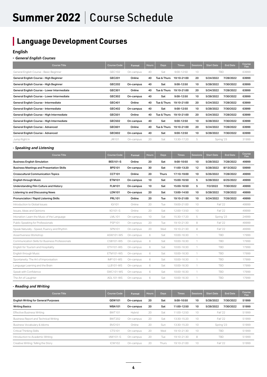## Summer 2022 | Course Schedule

## **Language Development Courses**

#### **English**

#### **-** *General English Courses*

| <b>Course Title</b>                         | <b>Course Code</b> | <b>Format</b> | <b>Hours</b> | <b>Days</b> | <b>Times</b>   | <b>Sessions</b> | <b>Start Date</b> | <b>End Date</b> | Course<br>Fee |
|---------------------------------------------|--------------------|---------------|--------------|-------------|----------------|-----------------|-------------------|-----------------|---------------|
| General English Course - Basic Beginner     | GEC102             | On-campus     | 40           | Sat         | $9:00 - 12:50$ | 10              | <b>TBD</b>        |                 | 63999         |
| General English Course - High Beginner      | GEC201             | Online        | 40           | Tue & Thurs | 19:10-21:00    | 20              | 5/24/2022         | 7/28/2022       | 63999         |
| General English Course - High Beginner      | <b>GEC202</b>      | On-campus     | 40           | Sat         | 9:00-12:50     | 10              | 5/28/2022         | 7/30/2022       | 63999         |
| General English Course - Lower Intermediate | GEC301             | Online        | 40           | Tue & Thurs | 19:10-21:00    | 20              | 5/24/2022         | 7/28/2022       | 63999         |
| General English Course - Lower Intermediate | GEC302             | On-campus     | 40           | Sat         | 9:00-12:50     | 10              | 5/28/2022         | 7/30/2022       | 63999         |
| General English Course - Intermediate       | GEC401             | Online        | 40           | Tue & Thurs | 19:10-21:00    | 20              | 5/24/2022         | 7/28/2022       | 63999         |
| General English Course - Intermediate       | GEC402             | On-campus     | 40           | Sat         | 9:00-12:50     | 10              | 5/28/2022         | 7/30/2022       | 63999         |
| General English Course - High Intermediate  | GEC501             | Online        | 40           | Tue & Thurs | 19:10-21:00    | 20              | 5/24/2022         | 7/28/2022       | 63999         |
| General English Course - High Intermediate  | <b>GEC502</b>      | On-campus     | 40           | Sat         | 9:00-12:50     | 10              | 5/28/2022         | 7/30/2022       | 63999         |
| General English Course - Advanced           | GEC601             | Online        | 40           | Tue & Thurs | 19:10-21:00    | 20              | 5/24/2022         | 7/28/2022       | 63999         |
| General English Course - Advanced           | GEC602             | On-campus     | 40           | Sat         | 9:00-12:50     | 10              | 5/28/2022         | 7/30/2022       | 63999         |
| Jump Right In                               | <b>JRI101</b>      | On-campus     | 20           | Sat         | 13:30-17:20    | 5               |                   | Spring '23      | 31999         |

#### *- Speaking and Listening*

| <b>Course Title</b>                              | <b>Course Code</b> | Format    | <b>Hours</b> | <b>Days</b>  | <b>Times</b> | <b>Sessions</b> | <b>Start Date</b> | <b>End Date</b> | Course<br>Fee |
|--------------------------------------------------|--------------------|-----------|--------------|--------------|--------------|-----------------|-------------------|-----------------|---------------|
| <b>Business English Simulation</b>               | <b>BES101-S</b>    | Online    | 20           | Sat          | 9:00-10:50   | 10              | 5/28/2022         | 7/28/2022       | 49999         |
| <b>Business Meetings and Presentation Skills</b> | <b>BPS101</b>      | On-campus | 30           | Sat          | 11:00-13:20  | 12              | 5/28/2022         | 8/13/2022       | 59999         |
| <b>Crosscultural Communication Topics</b>        | <b>CCT101</b>      | Online    | 20           | <b>Thurs</b> | 17:10-19:00  | 10              | 5/26/2022         | 7/28/2022       | 49999         |
| <b>English through Music</b>                     | <b>ETM101</b>      | On-campus | 10           | Sat          | 15:00-16:50  | 5               | 5/28/2022         | 6/25/2022       | 49999         |
| Understanding Film Culture and History           | <b>FLM101</b>      | On-campus | 10           | Sat          | 15:00-16:50  | 5               | 7/2/2022          | 7/30/2022       | 49999         |
| Listening to and Discussing News                 | <b>LDN101</b>      | On-campus | 20           | Sat          | 13:00-14:50  | 10              | 5/28/2022         | 7/28/2022       | 49999         |
| Pronunciation / Rapid Listening Skills           | <b>PRL101</b>      | Online    | 20           | Tue          | 19:10-21:00  | 10              | 5/24/2022         | 7/26/2022       | 49999         |
| Introduction to Global Issues                    | IGI101             | Online    | 20           | Tue          | 19:00-21:00  | 10              | Fall '22          |                 | 49999         |
| Issues, Ideas and Opinions                       | $IIO1O1-S$         | Online    | 20           | Sat          | 12:00-13:50  | 10              | <b>Fall '22</b>   |                 | 49999         |
| Intonation: Learn the Music of the Language      | <b>LML101</b>      | On-campus | 10           | Sat          | 15:30-17:20  | 5               | Spring '23        |                 | 24999         |
| Public Speaking for Professionals                | <b>PSP101</b>      | On-campus | 20           | Tue          | 19:10-21:30  | 8               | <b>Fall '22</b>   |                 | 49999         |
| Speak Naturally - Speed, Fluency and Rhythm      | <b>SPN101</b>      | On-campus | 20           | Wed          | 19:10-21:30  | 8               | <b>Fall '22</b>   |                 | 49999         |
| Assertiveness Workshop                           | <b>ASW101-WS</b>   | On-campus | 6            | Sat          | 10:00-16:30  | 1               | TBD               |                 | 17999         |
| Communication Skills for Business Professionals  | CSB101-WS          | On-campus | 6            | Sat          | 10:00-16:30  | $\mathbf{1}$    | TBD               |                 | 17999         |
| English for Tourism and Hospitality              | ETH101-WS          | On-campus | 6            | Sat          | 10:00-16:30  | 1               | <b>TBD</b>        |                 | 17999         |
| English through Music                            | ETM101-WS          | On-campus | 6            | Sat          | 10:00-16:30  | $\mathcal{I}$   | <b>TBD</b>        |                 | 17999         |
| Spontaneity: The Art of Improvisation            | <b>IMP101-WS</b>   | On-campus | 6            | Sat          | 10:00-16:30  | 1               | <b>TBD</b>        |                 | 17999         |
| Language Learning and the Brain                  | LLB101-WS          | On-campus | 6            | Sat          | 10:00-16:30  | $\mathbf{1}$    | <b>TBD</b>        |                 | 17999         |
| Speak with Confidence                            | <b>SWC101-WS</b>   | On-campus | 6            | Sat          | 10:00-16:30  | 1               | <b>TBD</b>        |                 | 17999         |
| The Art of Laughter                              | AOL101-WS          | On-campus | 6            | Sat          | 10:00-16:30  | 1               | <b>TBD</b>        |                 | 17999         |

#### *- Reading and Writing*

| <b>Course Title</b>                         | <b>Course Code</b> | <b>Format</b> | <b>Hours</b> | <b>Days</b> | <b>Times</b> | <b>Sessions</b> | <b>Start Date</b> | <b>End Date</b> | Course<br>Fee |
|---------------------------------------------|--------------------|---------------|--------------|-------------|--------------|-----------------|-------------------|-----------------|---------------|
| <b>English Writing for General Purposes</b> | GEW101             | On-campus     | 20           | Sat         | 9:00-10:50   | 10              | 5/28/2022         | 7/30/2022       | 51999         |
| <b>Writing Basics</b>                       | <b>WBA101</b>      | On-campus     | 20           | Sat         | 11:00-12:50  | 10              | 5/28/2022         | 7/30/2022       | 51999         |
| <b>Effective Business Writing</b>           | <b>BWT101</b>      | Hybrid        | 20           | Sat         | 11:00-12:50  | 10              | Fall '22          |                 | 51999         |
| Business Report and Technical Writing       | <b>BWT202</b>      | On-campus     | 20           | Sat         | 13:30-15:20  | 10              | Fall '22          |                 | 51999         |
| Business Vocabulary & Idioms                | <b>BVO101</b>      | Online        | 20           | Sun         | 13:30-15:20  | 10              | Spring '23        |                 | 51999         |
| Critical Thinking Skills                    | CTS101             | On-campus     | 20           | Wed         | 19:10-21:30  | 10              | <b>TBD</b>        |                 | 51999         |
| Introduction to Academic Writing            | <b>IAW101-S</b>    | On-campus     | 20           | Tue         | 19:10-21:30  | 8               | <b>TBD</b>        |                 | 51999         |
| Creative Writing: Telling the Story         | <b>ICW102</b>      | On-campus     | 20           | Thurs       | 19:10-21:00  | 10              | Fall '22          |                 | 51999         |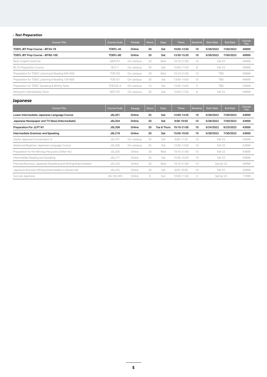#### *- Test Preparation*

| <b>Course Title</b>                               | Course Code     | Format    | <b>Hours</b> | <b>Days</b> | <b>Times</b> | <b>Sessions</b> | <b>Start Date</b> | <b>End Date</b> | Course<br>Fee |
|---------------------------------------------------|-----------------|-----------|--------------|-------------|--------------|-----------------|-------------------|-----------------|---------------|
| TOEFL IBT Prep Course - IBT45-79                  | TOEFL-45        | Online    | 20           | Sat         | 10:00-12:50  | 10              | 5/28/2022         | 7/30/2022       | 49999         |
| TOEFL IBT Prep Course - iBT80-100                 | TOEFL-80        | Online    | 20           | Sat         | 13:30-15:20  | 10              | 5/28/2022         | 7/30/2022       | 49999         |
| Basic English Grammar                             | GRA101          | On-campus | 20           | Wed         | 19:10-21:00  | 10              | Fall '22          |                 | 49999         |
| <b>IELTS Preparation Course</b>                   | IELT-1          | On-campus | 20           | Sat         | 15:00-17:20  | 8               | Fall '22          |                 | 49999         |
| Preparation for TOEIC Listening & Reading 500-650 | <b>TOE100</b>   | On-campus | 20           | Wed         | 19:10-21:00  | 10              | TBD               |                 | 49999         |
| Preparation for TOEIC Listening & Reading 730-800 | <b>TOE101</b>   | On-campus | 20           | Sat         | 13:00-14:50  | 10              | TBD               |                 | 49999         |
| Preparation for TOEIC Speaking & Writing Tests    | <b>TOE202-S</b> | On-campus | 10           | Sat         | 13:00-14:50  | 5               | <b>TBD</b>        |                 | 24999         |
| Writing for Standardized Tests                    | <b>WST101</b>   | On-campus | 20           | Sat         | 15:00-17:20  | 8               | Fall '22          |                 | 49999         |

#### **Japanese**

| <b>Course Title</b>                                               | <b>Course Code</b> | <b>Format</b> | <b>Hours</b> | Days        | <b>Times</b>   | <b>Sessions</b> | <b>Start Date</b> | <b>End Date</b> | Course<br>Fee |
|-------------------------------------------------------------------|--------------------|---------------|--------------|-------------|----------------|-----------------|-------------------|-----------------|---------------|
| Lower Intermediate Japanese Language Course                       | <b>JSL201</b>      | Online        | 25           | Sat         | 12:00-14:20    | 10              | 5/28/2022         | 7/30/2022       | 43999         |
| Japanese Newspaper and TV News (Intermediate)                     | <b>JSL204</b>      | Online        | 20           | Sat         | 9:00-10:50     | 10              | 5/28/2022         | 7/30/2022       | 43999         |
| Preparation For JLPT N1                                           | <b>JSL208</b>      | Online        | 20           | Tue & Thurs | 19:10-21:00    | 10              | 5/24/2022         | 6/23/2022       | 43999         |
| Intermediate Grammar and Speaking                                 | <b>JSL218</b>      | Online        | 20           | Sat         | 15:00-16:50    | 10              | 5/28/2022         | 7/30/2022       | 43999         |
| Useful Japanese Conversation A                                    | <b>JSL101</b>      | On-campus     | 25           | Sat         | $9:00 - 11:20$ | 10              | Fall '22          |                 | 54999         |
| Advanced Beginner Japanese Language Course                        | <b>JSL200</b>      | On-campus     | 25           | Sat         | 12:00-14:20    | 10              |                   | Fall '22        | 54999         |
| Preparation for the Nihongo Nouryoku Shiken-N2                    | <b>JSL205</b>      | Online        | 20           | Wed         | 19:10-21:00    | 10              |                   | Fall '22        | 43999         |
| Intermediate Reading and Speaking                                 | <b>JSL217</b>      | Online        | 20           | Sat         | 15:00-16:50    | 10              |                   | Fall '22        | 43999         |
| Practical Business Japanese (Speaking and Writing) (Intermediate) | <b>JSL223</b>      | Online        | 20           | Wed         | 19:10-21:00    | 10              | Spring '23        |                 | 43999         |
| Japanese Business Writing (Intermediate to Advanced)              | <b>JSL225</b>      | Online        | 20           | Sat         | $9:00 - 10:50$ | 10              | Fall '22          |                 | 43999         |
| Survival Japanese                                                 | <b>JSL103-WS</b>   | Online        | 6            | Sun         | 10:00-11:30    | 4               |                   | Spring '23      | 17999         |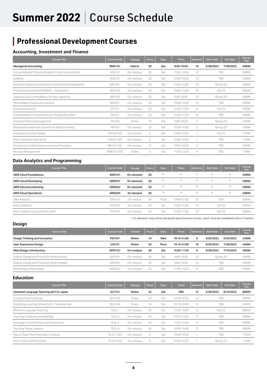## Summer 2022 | Course Schedule

## **Professional Development Courses**

#### **Accounting, Investment and Finance**

| <b>Course Title</b>                                        | <b>Course Code</b> | Format    | <b>Hours</b> | <b>Days</b> | <b>Times</b>   | <b>Sessions</b> | <b>Start Date</b> | End Date  | Course<br>Fee |
|------------------------------------------------------------|--------------------|-----------|--------------|-------------|----------------|-----------------|-------------------|-----------|---------------|
| <b>Managerial Accounting</b>                               | <b>BMA101</b>      | Hybrid    | 20           | Sat         | 9:00-10:50     | 10              | 5/28/2022         | 7/30/2022 | 59999         |
| Accounting and Financial Analysis for Non-Accountants      | AFA101             | On-campus | 20           | Sat         | 11:00-12:50    | 10              | <b>TBD</b>        |           | 59999         |
| Auditing                                                   | AUD <sub>101</sub> | On-campus | 20           | Sat         | 15:00-16:50    | 10              | <b>TBD</b>        |           | 59999         |
| Business Analysis and Valuation Using Financial Statements | <b>BAV101</b>      | On-campus | 20           | Sat         | 13:30-15:20    | 10              | Spring '23        |           | 59999         |
| Financial Accounting INTENSIVE - Introductory              | <b>BFA102</b>      | On-campus | 30           | Sat         | 10:00-12:50    | 10              | Fall '22          |           | 89999         |
| Japanese Accounting Basics for Non-Japanese                | <b>BFA104</b>      | On-campus | 20           | Sat         | $9:00 - 10:50$ | 10              | Spring '23        |           | 59999         |
| Intermediate Financial Accounting                          | <b>BFA201</b>      | On-campus | 20           | Sat         | 13:00-14:50    | 10              | <b>TBD</b>        |           | 59999         |
| Corporate Finance                                          | CFI101             | On-campus | 20           | Sat         | 15:30-17:50    | 8               | Fall '22          |           | 59999         |
| Fundamentals of Investments and Trading Securities         | FOI101             | On-campus | 20           | Sat         | 15:30-17:20    | 10              | <b>TBD</b>        |           | 59999         |
| Personal Financial Management                              | FOI104             | Online    | 10           | Sat         | $9:00 - 10:50$ | 5               | Spring '23        |           | 24999         |
| Real Estate Investment: Experience-Based Learning          | <b>REI103</b>      | On-campus | 10           | Sat         | 15:00-16:50    | 5               | Spring '23        |           | 24999         |
| Introduction to Day Trading                                | <b>FOI103-WS</b>   | On-campus | 6            | Sat         | 10:00-16:30    |                 | Fall '22          |           | 17999         |
| <b>Stock Valuation Using Excel</b>                         | <b>FOI201-WS</b>   | On-campus | 6            | Sat         | 10:00-16:30    |                 | <b>TBD</b>        |           | 17999         |
| Introduction to Real Estate Investment Principles          | <b>REI102-WS</b>   | On-campus | 12           | Sat         | 10:00-16:30    | 2               | <b>TBD</b>        |           | 35999         |
| Revenue Management                                         | <b>RMN101-WS</b>   | Online    | 6            | Sat         | 11:00-12:30    | 4               | <b>TBD</b>        |           | 17999         |

#### **Data Analytics and Programming**

| <b>Course Title</b>                 | <b>Course Code</b> | Format    | <b>Hours</b> | Days    | <b>Times</b> | <b>Sessions</b> | <b>Start Date</b> | <b>End Date</b> | Course<br>Fee |
|-------------------------------------|--------------------|-----------|--------------|---------|--------------|-----------------|-------------------|-----------------|---------------|
| <b>AWS Cloud Foundations</b>        | <b>AWS101</b>      | On-demand | 20           | $\star$ | $\star$      | $\star$         | $\star$           | $\star$         | 59999         |
| <b>AWS Cloud Developing</b>         | <b>AWS201</b>      | On-demand | 20           | $\star$ | $\star$      | ÷               | $\star$           | $\star$         | 59999         |
| <b>AWS Cloud Architecting</b>       | <b>AWS202</b>      | On-demand | 20           | $\star$ | $\star$      | $\star$         | $\star$           | $\star$         | 59999         |
| <b>AWS Cloud Operations</b>         | <b>AWS203</b>      | On-demand | 20           | $\star$ | $\star$      | $\star$         | $\star$           | $\star$         | 59999         |
| Data Analytics                      | <b>DTA101</b>      | On-campus | 20           | Thurs   | 19:40-21:30  | 10              |                   | TBD             | 59999         |
| <b>Basic Statistics</b>             | <b>DTA102</b>      | On-campus | 20           | Sat     | 13:30-15:20  | 10              | <b>Fall '22</b>   |                 | 59999         |
| Basic Statistics Using Python and R | <b>PYR102</b>      | On-campus | 20           | Sat     | 15:30-17:20  | 10              | Fall '22          |                 | 59999         |

\* On-demand: Fully online self-paced asynchronous courses, which must be completed within 3 months.

#### **Design**

| <b>Course Title</b>                          | <b>Course Code</b> | Format    | <b>Hours</b> | Days  | <b>Times</b>   | <b>Sessions</b> | <b>Start Date</b> | <b>End Date</b> | Course<br>Fee |
|----------------------------------------------|--------------------|-----------|--------------|-------|----------------|-----------------|-------------------|-----------------|---------------|
| Design Thinking and Innovation               | <b>PSY201</b>      | Online    | 10           | Wed   | 19:10-21:00    | 5               | 5/25/2022         | 6/22/2022       | 24999         |
| User Experience Design                       | UXI101             | Online    | 20           | Thurs | 19:10-21:00    | 10              | 5/26/2022         | 7/28/2022       | 45999         |
| Web Design: Introductory                     | <b>WPD101</b>      | On-campus | 20           | Sat   | 15:00-17:20    | 8               | 5/28/2022         | 7/16/2022       | 45999         |
| Graphic Design and Production (Introduction) | GDP101             | On-campus | 20           | Sat   | $9:00 - 10:50$ | 10              |                   | Spring '23      | 45999         |
| Graphic Design and Production (Intermediate) | GDP201             | On-campus | 20           | Sat   | $9:00 - 10:50$ | 10              | TBD               |                 | 45999         |
| Web Design: Intermediate                     | <b>WPD201</b>      | On-campus | 20           | Sat   | 11:00-13:20    | 8               |                   | TBD             | 45999         |

#### **Education**

| <b>Course Title</b>                               | <b>Course Code</b> | Format    | <b>Hours</b> | <b>Days</b> | <b>Times</b> | <b>Sessions</b> | Start Date | <b>End Date</b> | Course<br>Fee |
|---------------------------------------------------|--------------------|-----------|--------------|-------------|--------------|-----------------|------------|-----------------|---------------|
| Assistant Language Teaching (ALT) in Japan        | <b>ALT101</b>      | Online    | 42           | Sat         | <b>TBD</b>   | 12              | 5/28/2022  | 8/13/2022       | 89999         |
| Constructivist Pedagogy                           | <b>EDU102</b>      | Online    | 20           | Sat         | 14:30-16:20  | 10              | TBD        |                 | 49999         |
| Facilitating Learning Online (FLO) - Fundamentals | <b>EDU103</b>      | Online    | 10           | Tue         | 19:10-20:00  | 5               | TBD        |                 | 24999         |
| Effective Language Teaching                       | TEJL-1             | On-campus | 42           | Sat         | 14:30-15:50  | 12              | Fall '22   |                 | 89999         |
| Teaching Vocabulary and Reading                   | TEJL-3             | On-campus | 42           | Sat         | 14:30-17:50  | 12              | TBD        |                 | 89999         |
| Language Course Design and Assessment             | TEJL-4             | On-campus | 42           | Sat         | 14:30-15:50  | 12              | TBD        |                 | 89999         |
| Teaching Young Learners                           | TEJL-8             | On-campus | 42           | Sat         | 14:30-15:50  | 12              | TBD        |                 | 89999         |
| How to Teach Test-Preparation Classes             | TEJL-7-WS          | On-campus | 6            | Sat         | 10:00-16:30  |                 | TBD        |                 | 17999         |
| How to Teach Writing Online                       | TEJL-9-WS          | On-campus | 6            | Sat         | 10:00-16:30  |                 | Spring '23 |                 | 17999         |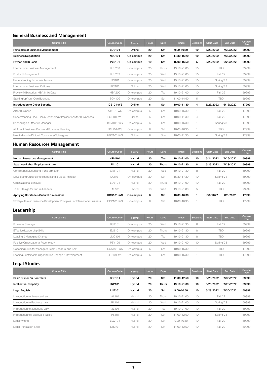#### **General Business and Management**

| <b>Course Title</b>                                               | <b>Course Code</b> | Format    | <b>Hours</b> | Days  | <b>Times</b> | <b>Sessions</b> | <b>Start Date</b> | <b>End Date</b> | Course<br>Fee |
|-------------------------------------------------------------------|--------------------|-----------|--------------|-------|--------------|-----------------|-------------------|-----------------|---------------|
| <b>Principles of Business Management</b>                          | <b>BUS101</b>      | Online    | 20           | Sat   | 9:00-10:50   | 10              | 5/28/2022         | 7/30/2022       | 59999         |
| <b>Business Negotiation</b>                                       | <b>NEG101</b>      | On-campus | 20           | Sat   | 14:30-16:20  | 10              | 5/28/2022         | 7/30/2022       | 59999         |
| Python and R Basic                                                | <b>PYR101</b>      | On-campus | 10           | Sat   | 15:00-16:50  | 5               | 5/28/2022         | 6/25/2022       | 29999         |
| International Business Management                                 | <b>BUS200</b>      | On-campus | 20           | Thurs | 19:10-21:00  | 10              | <b>TBD</b>        |                 | 59999         |
| Product Management                                                | <b>BUS202</b>      | On-campus | 20           | Wed   | 19:10-21:00  | 10              | <b>Fall '22</b>   |                 | 59999         |
| Understanding Economic Issues                                     | <b>ECI101</b>      | On-campus | 20           | Wed   | 19:10-21:00  | 10              | Spring '23        |                 | 59999         |
| International Business Cultures                                   | <b>IBC101</b>      | Online    | 20           | Wed   | 19:10-21:00  | 10              | Spring '23        |                 | 59999         |
| Preview MBA series: MBA in 10 Days                                | <b>MBA200</b>      | On-campus | 20           | Tue   | 19:10-21:00  | 10              | Fall '22          |                 | 59999         |
| Starting Up Your Own Business                                     | <b>SOH102</b>      | On-campus | 20           | Sat   | 11:00-14:50  | 5               | <b>TBD</b>        |                 | 59999         |
| <b>Introduction to Cyber Security</b>                             | <b>ICS101-WS</b>   | Online    | 6            | Sat   | 10:00-11:30  | 4               | 5/28/2022         | 6/18/2022       | 17999         |
| Al for Business                                                   | <b>AIB101-WS</b>   | On-campus | 6            | Sat   | 10:00-16:30  |                 | Fall '22          |                 | 17999         |
| Understanding Block Chain Technology: Implications for Businesses | BCT101-WS          | Online    | 6            | Sat   | 10:00-11:30  | 4               | Fall '22          |                 | 17999         |
| Becoming an Effective Manager                                     | BEM101-WS          | On-campus | 6            | Sat   | 10:00-16:30  |                 | Spring '23        |                 | 17999         |
| All About Business Plans and Business Planning                    | <b>BPL101-WS</b>   | On-campus | 6            | Sat   | 10:00-16:30  |                 | <b>TBD</b>        |                 | 17999         |
| How to Handle Difficult Customers/Colleagues                      | <b>HDC101-WS</b>   | Online    | 6            | Sun   | 10:00-11:30  | 4               | Spring '23        |                 | 17999         |

#### **Human Resources Management**

| <b>Course Title</b>                                                        | Course Code      | Format    | <b>Hours</b> | <b>Days</b> | <b>Times</b> | <b>Sessions</b> | <b>Start Date</b> | <b>End Date</b> | Course<br>Fee |
|----------------------------------------------------------------------------|------------------|-----------|--------------|-------------|--------------|-----------------|-------------------|-----------------|---------------|
| Human Resources Management                                                 | <b>HRM101</b>    | Hybrid    | 20           | Tue         | 19:10-21:00  | 10              | 5/24/2022         | 7/26/2022       | 59999         |
| Japanese Labor/Employment Law                                              | <b>JLL101</b>    | Hybrid    | 20           | Thurs       | 19:10-21:30  | 8               | 5/26/2022         | 7/28/2022       | 59999         |
| Conflict Resolution and Transformation                                     | CRT101           | Hybrid    | 20           | Wed         | 19:10-21:30  | 8               | Fall '22          |                 | 59999         |
| Developing Cultural Intelligence and a Global Mindset                      | <b>DCI101</b>    | On-campus | 20           | Sat         | 15:30-17:20  | 10              | Spring '23        |                 | 59999         |
| Organizational Behavior                                                    | EOB101           | Hybrid    | 20           | Thurs       | 19:10-21:00  | 10              | Fall '22          |                 | 59999         |
| Talent Design for Future Leaders                                           | <b>TAL101</b>    | Hybrid    | 10           | Wed         | 19:10-21:00  | 5               | TBD               |                 | 29999         |
| Applying Hofstede's Cultural Dimensions                                    | <b>HCD101-WS</b> | On-campus | 6            | Sat         | 10:00-16:30  |                 | 8/6/2022          | 8/6/2022        | 17999         |
| Strategic Human Resource Development Principles For International Business | ODP101-WS        | On-campus | 6            | Sat         | 10:00-16:30  |                 |                   | TBD             | 17999         |

#### **Leadership**

| <b>Course Title</b>                                   | <b>Course Code</b> | Format    | <b>Hours</b> | Days  | <b>Times</b> | <b>Sessions</b> | <b>Start Date</b> | <b>End Date</b> | Course<br>Fee |
|-------------------------------------------------------|--------------------|-----------|--------------|-------|--------------|-----------------|-------------------|-----------------|---------------|
| <b>Business Strategy</b>                              | <b>BST101</b>      | On-campus | 20           | Wed   | 19:10-21:30  | 8               | Fall '22          |                 | 59999         |
| Effective Leadership Skills                           | <b>ELS101</b>      | On-campus | 20           | Thurs | 19:10-21:30  | 8               | TBD               |                 | 59999         |
| Leading & Managing Change                             | LMC101             | On-campus | 20           | Tue   | 19:10-21:30  | 8               | TBD               |                 | 59999         |
| Positive Organizational Psychology                    | <b>PSY106</b>      | On-campus | 20           | Wed   | 19:10-21:00  | 10              | Spring '23        |                 | 59999         |
| Coaching Skills for Managers, Team Leaders, and Self  | COA101-WS          | On-campus | 6            | Sat   | 10:00-16:30  |                 | <b>TBD</b>        |                 | 17999         |
| Leading Sustainable Organization Change & Development | <b>ELS101-WS</b>   | On-campus | 6            | Sat   | 10:00-16:30  |                 | TBD               |                 | 17999         |

#### **Legal Studies**

| <b>Course Title</b>               | <b>Course Code</b> | Format | <b>Hours</b> | <b>Days</b> | <b>Times</b>   | <b>Sessions</b> | <b>Start Date</b> | <b>End Date</b> | Course<br>Fee |
|-----------------------------------|--------------------|--------|--------------|-------------|----------------|-----------------|-------------------|-----------------|---------------|
| Basic Primer on Contracts         | <b>BPC101</b>      | Hybrid | 20           | Sat         | 11:00-12:50    | 10              | 5/28/2022         | 7/30/2022       | 59999         |
| <b>Intellectual Property</b>      | <b>INP101</b>      | Hybrid | 20           | Thurs       | 19:10-21:00    | 10              | 5/26/2022         | 7/28/2022       | 59999         |
| Legal English                     | <b>LLE101</b>      | Hybrid | 20           | Sat         | 9:00-10:50     | 10              | 5/28/2022         | 7/30/2022       | 59999         |
| Introduction to American Law      | <b>IAL101</b>      | Hybrid | 20           | Thurs       | 19:10-21:00    | 10              | Fall '22          |                 | 59999         |
| Introduction to Business Law      | <b>IBL101</b>      | Hybrid | 20           | Wed         | 19:10-21:00    | 10              |                   | Spring '23      | 59999         |
| Introduction to Japanese Law      | <b>IJL101</b>      | Hybrid | 20           | Tue         | 19:10-21:00    | 10              | Fall '22          |                 | 59999         |
| Introduction to Paralegal Studies | <b>IPS101</b>      | Hybrid | 20           | Sat         | 11:00-12:50    | 10              | Spring '23        |                 | 59999         |
| Legal Writing                     | <b>LLW101</b>      | Hybrid | 20           | Sat         | $9:00 - 10:50$ | 10              | Fall '22          |                 | 59999         |
| Legal Translation Skills          | <b>LTS101</b>      | Hybrid | 20           | Sat         | 11:00-12:50    | 10              | Fall '22          |                 | 59999         |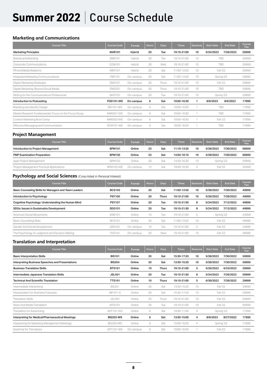# Summer 2022 | Course Schedule

#### **Marketing and Communications**

| <b>Course Title</b>                                    | <b>Course Code</b> | Format    | <b>Hours</b> | <b>Days</b> | <b>Times</b> | <b>Sessions</b> | <b>Start Date</b> | End Date  | Course<br>Fee |
|--------------------------------------------------------|--------------------|-----------|--------------|-------------|--------------|-----------------|-------------------|-----------|---------------|
| <b>Marketing Principles</b>                            | <b>MAR101</b>      | Hybrid    | 20           | Tue         | 19:10-21:00  | 10              | 5/24/2022         | 7/26/2022 | 59999         |
| Brands and Branding                                    | <b>BRB101</b>      | Hybrid    | 20           | Tue         | 19:10-21:00  | 10              | <b>TBD</b>        |           | 59999         |
| Corporate Communications                               | COM101             | Hybrid    | 20           | Wed         | 19:10-21:00  | 10              | <b>TBD</b>        |           | 59999         |
| PR and Media Relations                                 | <b>MER101</b>      | Hybrid    | 20           | Sat         | 11:00-12:50  | 10              | Fall '22          |           | 59999         |
| Integrated Marketing Communications                    | <b>PRE101</b>      | On-campus | 20           | Sat         | 11:00-12:50  | 10              | Spring '23        |           | 59999         |
| Digital Marketing Strategies                           | <b>SMS101</b>      | On-campus | 20           | Thurs       | 19:10-21:00  | 10              | Fall '22          |           | 59999         |
| Digital Marketing: Beyond Social Media                 | <b>SMS201</b>      | On-campus | 20           | Thurs       | 19:10-21:00  | 10              | <b>TBD</b>        |           | 59999         |
| Writing for the Communications Professional            | <b>WCP101</b>      | On-campus | 20           | Tue         | 19:10-21:00  | 10              | Spring '23        |           | 59999         |
| Introduction to Podcasting                             | <b>POD101-WS</b>   | On-campus | 6            | Sat         | 10:00-16:30  |                 | 8/6/2022          | 8/6/2022  | 17999         |
| Branding and Identity Design                           | <b>BID101-WS</b>   | On-campus | 6            | Sat         | 10:00-16:30  |                 | <b>TBD</b>        |           | 17999         |
| Market Research Fundamentals: Focus on the Focus Group | MAR201-WS          | On-campus | 6            | Sat         | 10:00-16:30  |                 | <b>TBD</b>        |           | 17999         |
| Content Marketing Boot Camp                            | <b>MAR202-WS</b>   | On-campus | 6            | Sat         | 10:00-16:30  |                 | Fall '22          |           | 17999         |
| Effective Messaging and Communication                  | SCM101-WS          | On-campus | 6            | Sat         | 10:00-16:30  |                 | <b>TBD</b>        |           | 17999         |

#### **Project Management**

| <b>Course Title</b>                       | <b>Course Code</b> | <b>Format</b> | <b>Hours</b> | <b>Days</b> | <b>Times</b> | <b>Sessions</b> | <b>Start Date</b> | <b>End Date</b> | Course<br>Fee |
|-------------------------------------------|--------------------|---------------|--------------|-------------|--------------|-----------------|-------------------|-----------------|---------------|
| Introduction to Project Management        | <b>BPM101</b>      | Online        | 23           | Sat         | 11:10-13:20  | 10              | 5/28/2022         | 7/30/2022       | 68999         |
| <b>PMP Examination Preparation</b>        | <b>BPM105</b>      | Online        | 23           | Sat         | 14:00-16:10  | 10              | 5/28/2022         | 7/30/2022       | 68999         |
| Agile Project Management                  | <b>BPM102</b>      | Online        | 20           | Sat         | 14:30-16:20  | 10              | Spring '23        |                 | 59999         |
| Project Management Practical Applications | <b>BPM103-WS</b>   | On-campus     | 12           | Sat         | 10:00-16:30  |                 | <b>Fall '22</b>   |                 | 35999         |

#### **Psychology and Social Sciences** (Cross-listed in Personal Interest)

| <b>Course Title</b>                                   | <b>Course Code</b> | <b>Format</b> | Hours, | <b>Days</b> | <b>Times</b> | <b>Sessions</b> | <b>Start Date</b> | <b>End Date</b> | Course<br>Fee |
|-------------------------------------------------------|--------------------|---------------|--------|-------------|--------------|-----------------|-------------------|-----------------|---------------|
| Basic Counseling Skills for Managers and Team Leaders | <b>BCS103</b>      | Online        | 20     | Sat         | 11:00-12:50  | 10              | 5/28/2022         | 7/30/2022       | 49999         |
| Introduction to Psychology                            | <b>PSY100</b>      | Online        | 20     | Thurs       | 19:10-21:00  | 10              | 5/26/2022         | 7/28/2022       | 49999         |
| Cognitive Psychology: Understanding the Human Mind    | <b>PSY107</b>      | Online        | 20     | Tue         | 19:10-21:30  | 8               | 5/24/2022         | 7/12/2022       | 49999         |
| SDGs: Issues in Sustainable Development               | SDG101             | Online        | 20     | Tue         | 19:10-21:30  | 8               | 5/24/2022         | 7/12/2022       | 49999         |
| American Social Movements                             | ASM101             | Online        | 10     | Tue         | 19:10-21:00  | 5               | Spring '23        |                 | 24999         |
| <b>Basic Counseling Skills</b>                        | <b>BCS101</b>      | Online        | 20     | Sat         | 11:00-12:50  | 10              | Fall '22          |                 | 49999         |
| Gender And Social Development                         | <b>GEN101</b>      | On-campus     | 10     | Tue         | 19:10-21:00  | 5               | Fall '22          |                 | 24999         |
| The Psychology of Judgment and Decision-Making        | <b>PJD101</b>      | On-campus     | 20     | Wed         | 19:10-21:00  | 10              | Fall '22          |                 | 49999         |

#### **Translation and Interpretation**

| <b>Course Title</b>                              | <b>Course Code</b> | <b>Format</b> | <b>Hours</b> | <b>Days</b>  | <b>Times</b> | <b>Sessions</b> | <b>Start Date</b> | <b>End Date</b> | Course<br>Fee |
|--------------------------------------------------|--------------------|---------------|--------------|--------------|--------------|-----------------|-------------------|-----------------|---------------|
| <b>Basic Interpretation Skills</b>               | <b>BIS101</b>      | Online        | 20           | Sat          | 15:30-17:20  | 10              | 5/28/2022         | 7/30/2022       | 59999         |
| Interpreting Business Speeches and Presentations | <b>BIS204</b>      | Online        | 20           | Sat          | 13:30-15:20  | 10              | 5/28/2022         | 7/30/2022       | 59999         |
| <b>Business Translation Skills</b>               | <b>BTS101</b>      | Online        | 10           | <b>Thurs</b> | 19:10-21:00  | 5               | 5/26/2022         | 6/23/2022       | 29999         |
| Intermediate Japanese Translation Skills         | <b>JSL501</b>      | Online        | 20           | Tue          | 19:10-21:30  | 8               | 5/24/2022         | 7/26/2022       | 59999         |
| <b>Technical And Scientific Translation</b>      | <b>TTS101</b>      | Online        | 10           | <b>Thurs</b> | 19:10-21:00  | 5               | 6/30/2022         | 7/28/2022       | 29999         |
| Intermediate Interpreting                        | <b>BIS201</b>      | Online        | 20           | Sat          | 13:30-15:20  | 10              | Fall '22          |                 | 59999         |
| Interpretation for Business Purposes             | <b>IBP101-S</b>    | Online        | 20           | Sat          | 15:30-17:20  | 10              | Fall '22          |                 | 59999         |
| <b>Translation Skills</b>                        | <b>JSL401</b>      | Online        | 20           | Thurs        | 19:10-21:00  | 10              | Fall '22          |                 | 59999         |
| News And Media Translation                       | <b>MTS101</b>      | Online        | 20           | Tue          | 19:10-21:00  | 10              | Fall '22          |                 | 59999         |
| Translation for Advertising                      | ADT101-WS          | Online        | 6            | Sat          | 10:00-11:30  | 4               | Spring '23        |                 | 17999         |
| Interpreting for Medical/Pharmaceutical Meetings | <b>BIS202-WS</b>   | Online        | 6            | Sat          | 13:30-15:00  | 4               | 8/6/2022          | 8/27/2022       | 17999         |
| Interpreting for Marketing Management Meetings   | <b>BIS203-WS</b>   | Online        | 6            | Sat          | 15:00-16:30  | 4               |                   | Spring '23      | 17999         |
| Grammar for Translators                          | GFT101-WS          | On-campus     | 6            | Sat          | 10:00-16:30  |                 | Fall '22          |                 | 17999         |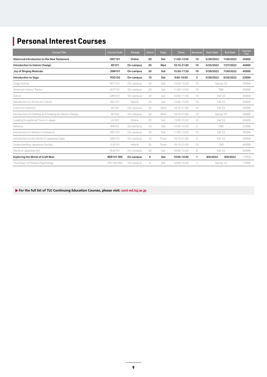## **Personal Interest Courses**

| <b>Course Title</b>                                      | <b>Course Code</b> | Format    | <b>Hours</b> | <b>Days</b> | <b>Times</b> | <b>Sessions</b> | <b>Start Date</b> | <b>End Date</b> | Course<br>Fee |
|----------------------------------------------------------|--------------------|-----------|--------------|-------------|--------------|-----------------|-------------------|-----------------|---------------|
| <b>Historical Introduction to the New Testament</b>      | <b>HNT101</b>      | Online    | 20           | Sat         | 11:00-12:50  | 10              | 5/28/2022         | 7/30/2022       | 45999         |
| Introduction to Interior Design                          | <b>IID101</b>      | On-campus | 20           | Wed         | 19:10-21:00  | 10              | 5/25/2022         | 7/27/2022       | 45999         |
| Joy of Singing Musicals                                  | <b>JSM101</b>      | On-campus | 20           | Sat         | 15:30-17:20  | 10              | 5/28/2022         | 7/30/2022       | 45999         |
| Introduction to Yoga                                     | <b>YOG102</b>      | On-campus | 10           | Sat         | 9:00-10:50   | 5               | 5/28/2022         | 6/25/2022       | 22999         |
| Stage Acting                                             | ACT101             | On-campus | 20           | Sat         | 13:30-15:20  | 10              | Spring '23        |                 | 45999         |
| American History Topics                                  | AHT101             | On-campus | 20           | Sat         | 11:00-12:50  | 10              | <b>TBD</b>        |                 | 45999         |
| Dance                                                    | <b>DAN101</b>      | On-campus | 20           | Sat         | 10:00-11:50  | 10              | Fall '22          |                 | 45999         |
| Introduction to American Culture                         | <b>IAC101</b>      | Hybrid    | 20           | Sat         | 13:30-15:20  | 10              | Fall '22          |                 | 45999         |
| Colors for Interiors                                     | <b>IID102</b>      | On-campus | 20           | Wed         | 19:10-21:00  | 10              | Fall '22          |                 | 45999         |
| Introduction to Drafting and Drawing for Interior Design | <b>IID103</b>      | On-campus | 20           | Wed         | 19:10-21:00  | 10              | Spring '23        |                 | 45999         |
| Leading Exceptional Tours in Japan                       | <b>IJV101</b>      | Online    | 20           | Sat         | 13:30-15:20  | 10              | Fall '22          |                 | 45999         |
| Ikebana                                                  | <b>IKB101</b>      | On-campus | 10           | Sat         | 13:30-15:20  | 5               | <b>TBD</b>        |                 | 22999         |
| Introduction to Western Civilization                     | <b>IWC101</b>      | On-campus | 20           | Sat         | 11:00-12:50  | 10              | Fall '22          |                 | 45999         |
| Introduction to the World of Japanese Sake               | <b>SAK101</b>      | On-campus | 10           | Thurs       | 19:10-21:00  | 5               | <b>Fall '22</b>   |                 | 22999         |
| Understanding Japanese Society                           | <b>UJS101</b>      | Hybrid    | 20           | Thurs       | 19:10-21:00  | 10              | <b>TBD</b>        |                 | 45999         |
| World of Japanese Art                                    | WJA101             | On-campus | 20           | Sat         | 10:00-12:20  | 8               | Fall '22          |                 | 45999         |
| <b>Exploring the World of Craft Beer</b>                 | <b>BER101-WS</b>   | On-campus | 6            | Sat         | 10:00-16:30  | 1               | 8/6/2022          | 8/6/2022        | 17999         |
| The Power of Positive Psychology                         | <b>PSY104-WS</b>   | On-campus | 6            | Sat         | 10:00-16:30  |                 | Spring '23        |                 | 17999         |

 **For the full list of TUJ Continuing Education Courses, please visit: cont-ed.tuj.ac.jp**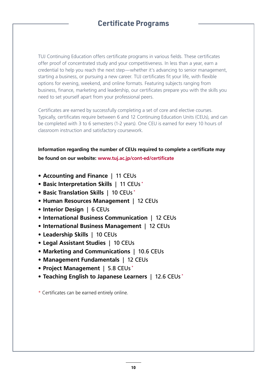## **Certificate Programs**

TUJ Continuing Education offers certificate programs in various fields. These certificates offer proof of concentrated study and your competitiveness. In less than a year, earn a credential to help you reach the next step—whether it's advancing to senior management, starting a business, or pursuing a new career. TUJ certificates fit your life, with flexible options for evening, weekend, and online formats. Featuring subjects ranging from business, finance, marketing and leadership, our certificates prepare you with the skills you need to set yourself apart from your professional peers.

Certificates are earned by successfully completing a set of core and elective courses. Typically, certificates require between 6 and 12 Continuing Education Units (CEUs), and can be completed with 3 to 6 semesters (1-2 years). One CEU is earned for every 10 hours of classroom instruction and satisfactory coursework.

**Information regarding the number of CEUs required to complete a certificate may be found on our website: www.tuj.ac.jp/cont-ed/certificate**

- **Accounting and Finance** | 11 CEUs
- **Basic Interpretation Skills** | 11 CEUs \*
- **Basic Translation Skills** | 10 CEUs \*
- **Human Resources Management** | 12 CEUs
- **Interior Design** | 6 CEUs
- **International Business Communication** | 12 CEUs
- **International Business Management** | 12 CEUs
- **Leadership Skills** | 10 CEUs
- **Legal Assistant Studies** | 10 CEUs
- **Marketing and Communications** | 10.6 CEUs
- **Management Fundamentals** | 12 CEUs
- **Project Management** | 5.8 CEUs \*
- **Teaching English to Japanese Learners** | 12.6 CEUs \*

\* Certificates can be earned entirely online.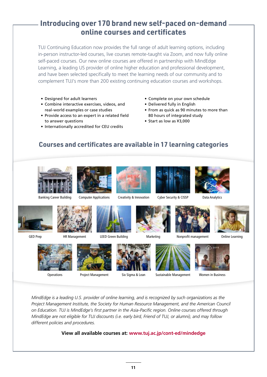## **Introducing over 170 brand new self-paced on-demand online courses and certificates**

TUJ Continuing Education now provides the full range of adult learning options, including in-person instructor-led courses, live courses remote-taught via Zoom, and now fully online self-paced courses. Our new online courses are offered in partnership with MindEdge Learning, a leading US provider of online higher education and professional development, and have been selected specifically to meet the learning needs of our community and to complement TUJ's more than 200 existing continuing education courses and workshops.

- Designed for adult learners
- Combine interactive exercises, videos, and real-world examples or case studies
- Provide access to an expert in a related field to answer questions
- Internationally accredited for CEU credits
- Complete on your own schedule
- Delivered fully in English
- From as quick as 90 minutes to more than 80 hours of integrated study
- Start as low as ¥3,000

### **Courses and certificates are available in 17 learning categories**











Computer Applications Creativity & Innovation Cyber Security & CISSP Data Analytics





GED Prep



















Operations Project Management Six Sigma & Lean Sustainable Management Women in Business





*MindEdge is a leading U.S. provider of online learning, and is recognized by such organizations as the Project Management Institute, the Society for Human Resource Management, and the American Council on Education. TUJ is MindEdge's first partner in the Asia-Pacific region. Online courses offered through MindEdge are not eligible for TUJ discounts (i.e. early bird, Friend of TUJ, or alumni), and may follow different policies and procedures.*

#### **View all available courses at: www.tuj.ac.jp/cont-ed/mindedge**